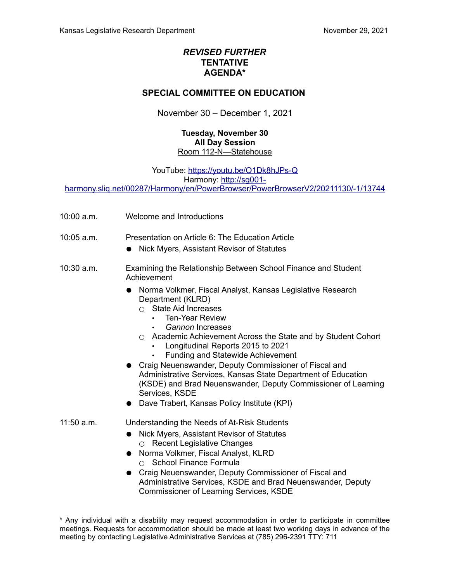## *REVISED FURTHER* **TENTATIVE AGENDA\***

## **SPECIAL COMMITTEE ON EDUCATION**

November 30 – December 1, 2021

## **Tuesday, November 30 All Day Session** Room 112-N—Statehouse

YouTube:<https://youtu.be/O1Dk8hJPs-Q>

Harmony: [http://sg001-](http://sg001-harmony.sliq.net/00287/Harmony/en/PowerBrowser/PowerBrowserV2/20211130/-1/13744)

[harmony.sliq.net/00287/Harmony/en/PowerBrowser/PowerBrowserV2/20211130/-1/13744](http://sg001-harmony.sliq.net/00287/Harmony/en/PowerBrowser/PowerBrowserV2/20211130/-1/13744)

- 10:00 a.m. Welcome and Introductions
- 10:05 a.m. Presentation on Article 6: The Education Article
	- Nick Myers, Assistant Revisor of Statutes
- 10:30 a.m. Examining the Relationship Between School Finance and Student Achievement
	- Norma Volkmer, Fiscal Analyst, Kansas Legislative Research Department (KLRD)
		- $\circ$  State Aid Increases
			- Ten-Year Review
			- *Gannon* Increases
		- Academic Achievement Across the State and by Student Cohort
			- Longitudinal Reports 2015 to 2021
			- Funding and Statewide Achievement
	- Craig Neuenswander, Deputy Commissioner of Fiscal and Administrative Services, Kansas State Department of Education (KSDE) and Brad Neuenswander, Deputy Commissioner of Learning Services, KSDE
	- Dave Trabert, Kansas Policy Institute (KPI)
- 11:50 a.m. Understanding the Needs of At-Risk Students
	- Nick Myers, Assistant Revisor of Statutes ○ Recent Legislative Changes
	- Norma Volkmer, Fiscal Analyst, KLRD ○ School Finance Formula
	- Craig Neuenswander, Deputy Commissioner of Fiscal and Administrative Services, KSDE and Brad Neuenswander, Deputy Commissioner of Learning Services, KSDE

\* Any individual with a disability may request accommodation in order to participate in committee meetings. Requests for accommodation should be made at least two working days in advance of the meeting by contacting Legislative Administrative Services at (785) 296-2391 TTY: 711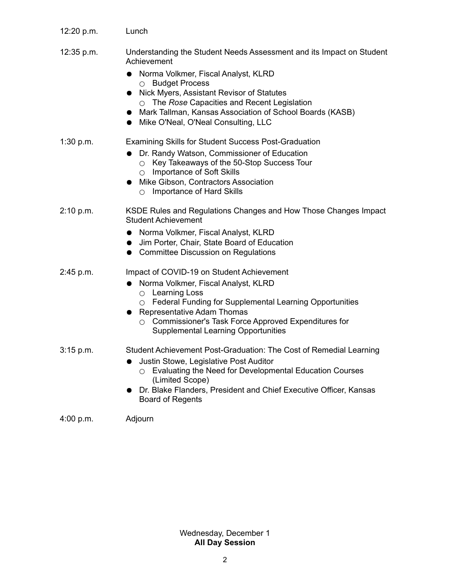| 12:20 p.m. | Lunch                                                                                                                                                                                                                                                                                                                                                                                               |
|------------|-----------------------------------------------------------------------------------------------------------------------------------------------------------------------------------------------------------------------------------------------------------------------------------------------------------------------------------------------------------------------------------------------------|
| 12:35 p.m. | Understanding the Student Needs Assessment and its Impact on Student<br>Achievement<br>Norma Volkmer, Fiscal Analyst, KLRD<br><b>Budget Process</b><br>$\circ$<br>Nick Myers, Assistant Revisor of Statutes<br>The Rose Capacities and Recent Legislation<br>$\bigcap$<br>Mark Tallman, Kansas Association of School Boards (KASB)<br>$\bullet$<br>Mike O'Neal, O'Neal Consulting, LLC<br>$\bullet$ |
| 1:30 p.m.  | <b>Examining Skills for Student Success Post-Graduation</b><br>Dr. Randy Watson, Commissioner of Education<br>Key Takeaways of the 50-Stop Success Tour<br>$\bigcirc$<br><b>Importance of Soft Skills</b><br>$\bigcirc$<br>Mike Gibson, Contractors Association<br>$\bullet$<br><b>Importance of Hard Skills</b><br>O                                                                               |
| 2:10 p.m.  | KSDE Rules and Regulations Changes and How Those Changes Impact<br><b>Student Achievement</b><br>• Norma Volkmer, Fiscal Analyst, KLRD<br>Jim Porter, Chair, State Board of Education<br><b>Committee Discussion on Regulations</b><br>$\bullet$                                                                                                                                                    |
| 2:45 p.m.  | Impact of COVID-19 on Student Achievement<br>Norma Volkmer, Fiscal Analyst, KLRD<br>$\bullet$<br><b>Learning Loss</b><br>$\circ$<br>Federal Funding for Supplemental Learning Opportunities<br>$\circ$<br>Representative Adam Thomas<br>Commissioner's Task Force Approved Expenditures for<br>$\bigcirc$<br><b>Supplemental Learning Opportunities</b>                                             |
| 3:15 p.m.  | Student Achievement Post-Graduation: The Cost of Remedial Learning<br>Justin Stowe, Legislative Post Auditor<br>Evaluating the Need for Developmental Education Courses<br>(Limited Scope)<br>Dr. Blake Flanders, President and Chief Executive Officer, Kansas<br><b>Board of Regents</b>                                                                                                          |
| 4:00 p.m.  | Adjourn                                                                                                                                                                                                                                                                                                                                                                                             |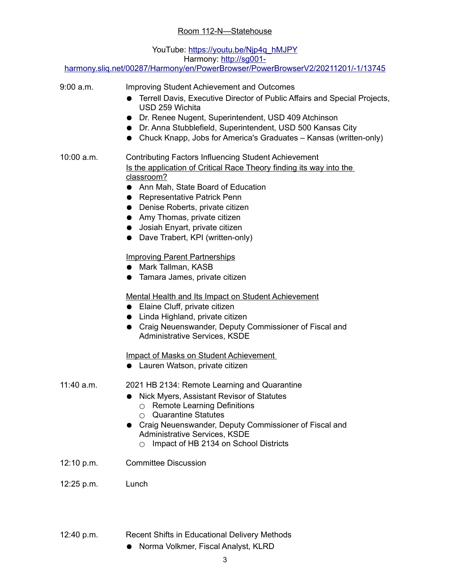## YouTube: [https://youtu.be/Njp4q\\_hMJPY](https://youtu.be/Njp4q_hMJPY) Harmony: [http://sg001-](http://sg001-harmony.sliq.net/00287/Harmony/en/PowerBrowser/PowerBrowserV2/20211201/-1/13745)

[harmony.sliq.net/00287/Harmony/en/PowerBrowser/PowerBrowserV2/20211201/-1/13745](http://sg001-harmony.sliq.net/00287/Harmony/en/PowerBrowser/PowerBrowserV2/20211201/-1/13745)

| 9:00 a.m.  | <b>Improving Student Achievement and Outcomes</b><br>Terrell Davis, Executive Director of Public Affairs and Special Projects,<br>USD 259 Wichita<br>• Dr. Renee Nugent, Superintendent, USD 409 Atchinson<br>• Dr. Anna Stubblefield, Superintendent, USD 500 Kansas City<br>Chuck Knapp, Jobs for America's Graduates - Kansas (written-only)<br>$\bullet$             |
|------------|--------------------------------------------------------------------------------------------------------------------------------------------------------------------------------------------------------------------------------------------------------------------------------------------------------------------------------------------------------------------------|
| 10:00 a.m. | <b>Contributing Factors Influencing Student Achievement</b><br>Is the application of Critical Race Theory finding its way into the<br>classroom?<br>• Ann Mah, State Board of Education<br>• Representative Patrick Penn<br>• Denise Roberts, private citizen<br>• Amy Thomas, private citizen<br>• Josiah Enyart, private citizen<br>• Dave Trabert, KPI (written-only) |
|            | <b>Improving Parent Partnerships</b><br>• Mark Tallman, KASB<br>• Tamara James, private citizen                                                                                                                                                                                                                                                                          |
|            | <b>Mental Health and Its Impact on Student Achievement</b><br>• Elaine Cluff, private citizen<br>• Linda Highland, private citizen<br>• Craig Neuenswander, Deputy Commissioner of Fiscal and<br>Administrative Services, KSDE                                                                                                                                           |
|            | <b>Impact of Masks on Student Achievement</b><br>• Lauren Watson, private citizen                                                                                                                                                                                                                                                                                        |
| 11:40 a.m. | 2021 HB 2134: Remote Learning and Quarantine<br>Nick Myers, Assistant Revisor of Statutes<br><b>Remote Learning Definitions</b><br><b>Quarantine Statutes</b><br>∩<br>• Craig Neuenswander, Deputy Commissioner of Fiscal and<br>Administrative Services, KSDE<br>Impact of HB 2134 on School Districts                                                                  |
| 12:10 p.m. | <b>Committee Discussion</b>                                                                                                                                                                                                                                                                                                                                              |
| 12:25 p.m. | Lunch                                                                                                                                                                                                                                                                                                                                                                    |

- 12:40 p.m. Recent Shifts in Educational Delivery Methods
	- Norma Volkmer, Fiscal Analyst, KLRD